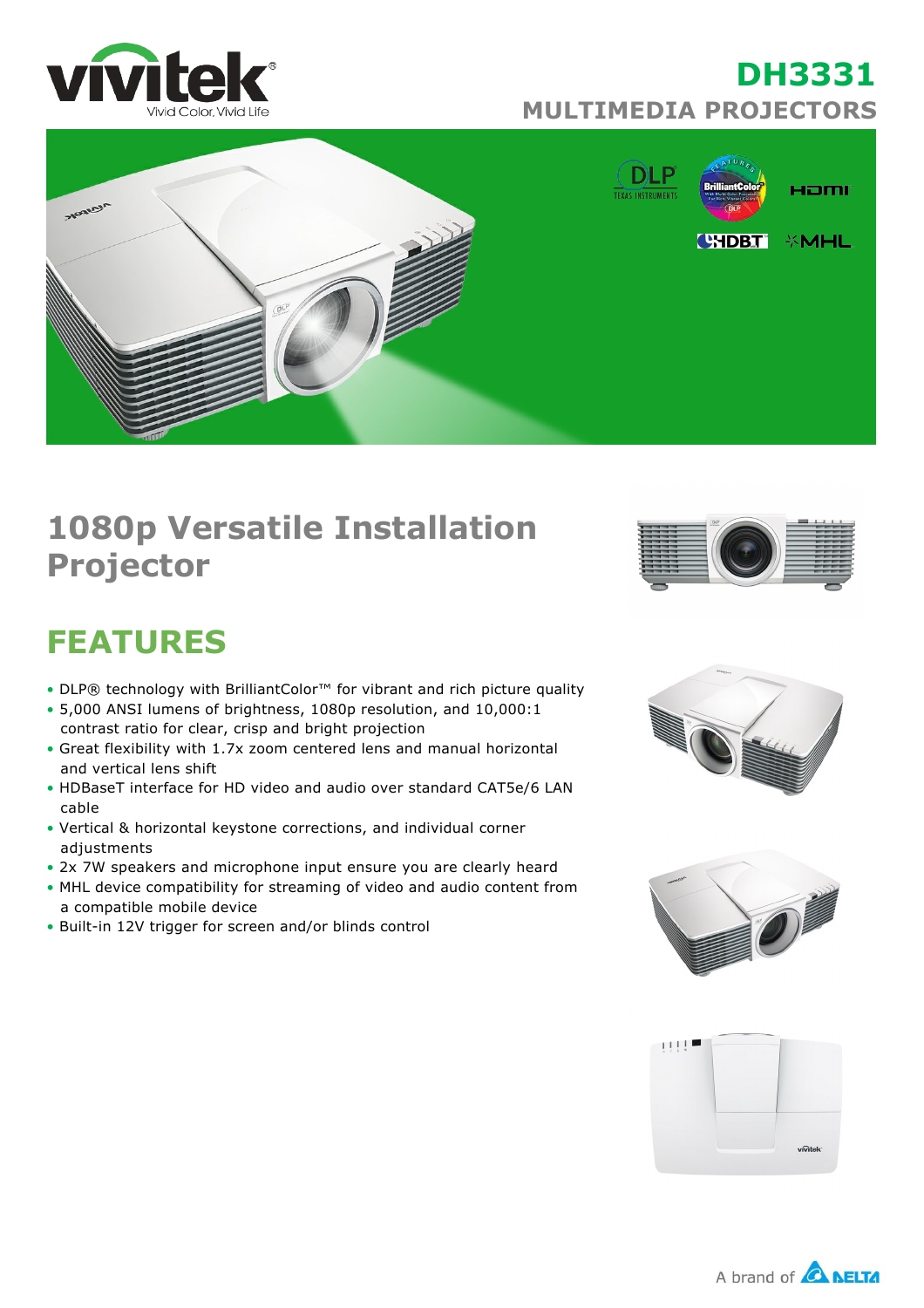

## **DH3331 MULTIMEDIA PROJECTORS**



# **1080p Versatile Installation Projector**



# **FEATURES**

- DLP® technology with BrilliantColor™ for vibrant and rich picture quality
- 5,000 ANSI lumens of brightness, 1080p resolution, and 10,000:1 contrast ratio for clear, crisp and bright projection
- Great flexibility with 1.7x zoom centered lens and manual horizontal and vertical lens shift
- HDBaseT interface for HD video and audio over standard CAT5e/6 LAN cable
- Vertical & horizontal keystone corrections, and individual corner adjustments
- 2x 7W speakers and microphone input ensure you are clearly heard
- MHL device compatibility for streaming of video and audio content from a compatible mobile device
- Built-in 12V trigger for screen and/or blinds control